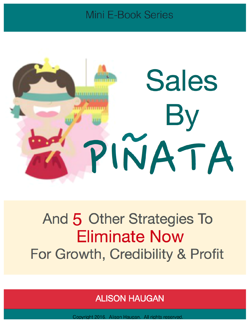# **Mini E-Book Series**



# And 5 Other Strategies To **Eliminate Now** For Growth, Credibility & Profit

# Alison Haugan www.alisonhaugan.com © 2016. Alison Haugan. All rights reserved. 1

Copyright 2016. Alison Haugan. All rights reserved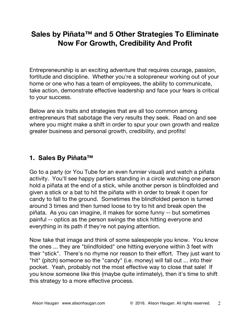# **Sales by Piñata™ and 5 Other Strategies To Eliminate Now For Growth, Credibility And Profit**

Entrepreneurship is an exciting adventure that requires courage, passion, fortitude and discipline. Whether you're a solopreneur working out of your home or one who has a team of employees, the ability to communicate, take action, demonstrate effective leadership and face your fears is critical to your success.

Below are six traits and strategies that are all too common among entrepreneurs that sabotage the very results they seek. Read on and see where you might make a shift in order to spur your own growth and realize greater business and personal growth, credibility, and profits!

#### **1. Sales By Piñata™**

Go to a party (or You Tube for an even funnier visual) and watch a piñata activity. You'll see happy partiers standing in a circle watching one person hold a piñata at the end of a stick, while another person is blindfolded and given a stick or a bat to hit the piñata with in order to break it open for candy to fall to the ground. Sometimes the blindfolded person is turned around 3 times and then turned loose to try to hit and break open the piñata. As you can imagine, it makes for some funny -- but sometimes painful -- optics as the person swings the stick hitting everyone and everything in its path if they're not paying attention.

Now take that image and think of some salespeople you know. You know the ones ... they are "blindfolded" one hitting everyone within 3 feet with their "stick". There's no rhyme nor reason to their effort. They just want to "hit" (pitch) someone so the "candy" (i.e. money) will fall out ... into their pocket. Yeah, probably not the most effective way to close that sale! If you know someone like this (maybe quite intimately), then it's time to shift this strategy to a more effective process.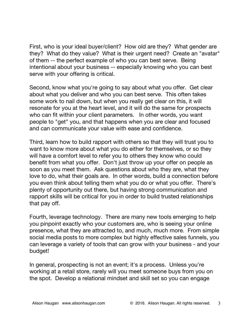First, who is your ideal buyer/client? How old are they? What gender are they? What do they value? What is their urgent need? Create an "avatar" of them -- the perfect example of who you can best serve. Being intentional about your business -- especially knowing who you can best serve with your offering is critical.

Second, know what you're going to say about what you offer. Get clear about what you deliver and who you can best serve. This often takes some work to nail down, but when you really get clear on this, it will resonate for you at the heart level, and it will do the same for prospects who can fit within your client parameters. In other words, you want people to "get" you, and that happens when you are clear and focused and can communicate your value with ease and confidence.

Third, learn how to build rapport with others so that they will trust you to want to know more about what you do either for themselves, or so they will have a comfort level to refer you to others they know who could benefit from what you offer. Don't just throw up your offer on people as soon as you meet them. Ask questions about who they are, what they love to do, what their goals are. In other words, build a connection before you even think about telling them what you do or what you offer. There's plenty of opportunity out there, but having strong communication and rapport skills will be critical for you in order to build trusted relationships that pay off.

Fourth, leverage technology. There are many new tools emerging to help you pinpoint exactly who your customers are, who is seeing your online presence, what they are attracted to, and much, much more. From simple social media posts to more complex but highly effective sales funnels, you can leverage a variety of tools that can grow with your business - and your budget!

In general, prospecting is not an event; it's a process. Unless you're working at a retail store, rarely will you meet someone buys from you on the spot. Develop a relational mindset and skill set so you can engage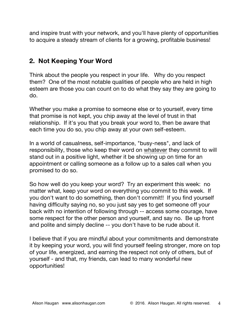and inspire trust with your network, and you'll have plenty of opportunities to acquire a steady stream of clients for a growing, profitable business!

## **2. Not Keeping Your Word**

Think about the people you respect in your life. Why do you respect them? One of the most notable qualities of people who are held in high esteem are those you can count on to do what they say they are going to do.

Whether you make a promise to someone else or to yourself, every time that promise is not kept, you chip away at the level of trust in that relationship. If it's you that you break your word to, then be aware that each time you do so, you chip away at your own self-esteem.

In a world of casualness, self-importance, "busy-ness", and lack of responsibility, those who keep their word on whatever they commit to will stand out in a positive light, whether it be showing up on time for an appointment or calling someone as a follow up to a sales call when you promised to do so.

So how well do you keep your word? Try an experiment this week: no matter what, keep your word on everything you commit to this week. If you don't want to do something, then don't commit!! If you find yourself having difficulty saying no, so you just say yes to get someone off your back with no intention of following through -- access some courage, have some respect for the other person and yourself, and say no. Be up front and polite and simply decline -- you don't have to be rude about it.

I believe that if you are mindful about your commitments and demonstrate it by keeping your word, you will find yourself feeling stronger, more on top of your life, energized, and earning the respect not only of others, but of yourself - and that, my friends, can lead to many wonderful new opportunities!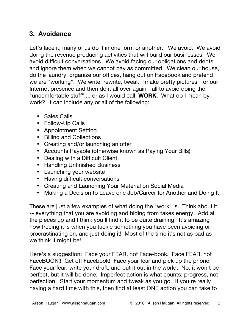# **3. Avoidance**

Let's face it, many of us do it in one form or another. We avoid. We avoid doing the revenue producing activities that will build our businesses. We avoid difficult conversations. We avoid facing our obligations and debts and ignore them when we cannot pay as committed. We clean our house, do the laundry, organize our offices, hang out on Facebook and pretend we are "working". We write, rewrite, tweak, "make pretty pictures" for our Internet presence and then do it all over again - all to avoid doing the "uncomfortable stuff".... or as I would call, **WORK**. What do I mean by work? It can include any or all of the following:

- Sales Calls
- Follow-Up Calls
- Appointment Setting
- Billing and Collections
- Creating and/or launching an offer
- Accounts Payable (otherwise known as Paying Your Bills)
- Dealing with a Difficult Client
- Handling Unfinished Business
- Launching your website
- Having difficult conversations
- Creating and Launching Your Material on Social Media
- Making a Decision to Leave one Job/Career for Another and Doing It

These are just a few examples of what doing the "work" is. Think about it -- everything that you are avoiding and hiding from takes energy. Add all the pieces up and I think you'll find it to be quite draining! It's amazing how freeing it is when you tackle something you have been avoiding or procrastinating on, and just doing it! Most of the time it's not as bad as we think it might be!

Here's a suggestion: Face your FEAR, not Face-book. Face FEAR, not FaceBOOK!! Get off Facebook! Face your fear and pick up the phone. Face your fear, write your draft, and put it out in the world. No, it won't be perfect, but it will be done. Imperfect action is what counts; progress, not perfection. Start your momentum and tweak as you go. If you're really having a hard time with this, then find at least ONE action you can take to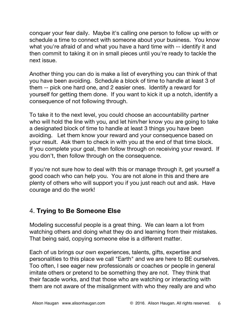conquer your fear daily. Maybe it's calling one person to follow up with or schedule a time to connect with someone about your business. You know what you're afraid of and what you have a hard time with -- identify it and then commit to taking it on in small pieces until you're ready to tackle the next issue.

Another thing you can do is make a list of everything you can think of that you have been avoiding. Schedule a block of time to handle at least 3 of them -- pick one hard one, and 2 easier ones. Identify a reward for yourself for getting them done. If you want to kick it up a notch, identify a consequence of not following through.

To take it to the next level, you could choose an accountability partner who will hold the line with you, and let him/her know you are going to take a designated block of time to handle at least 3 things you have been avoiding. Let them know your reward and your consequence based on your result. Ask them to check in with you at the end of that time block. If you complete your goal, then follow through on receiving your reward. If you don't, then follow through on the consequence.

If you're not sure how to deal with this or manage through it, get yourself a good coach who can help you. You are not alone in this and there are plenty of others who will support you if you just reach out and ask. Have courage and do the work!

### 4. **Trying to Be Someone Else**

Modeling successful people is a great thing. We can learn a lot from watching others and doing what they do and learning from their mistakes. That being said, copying someone else is a different matter.

Each of us brings our own experiences, talents, gifts, expertise and personalities to this place we call "Earth" and we are here to BE ourselves. Too often, I see eager new professionals or coaches or people in general imitate others or pretend to be something they are not. They think that their facade works, and that those who are watching or interacting with them are not aware of the misalignment with who they really are and who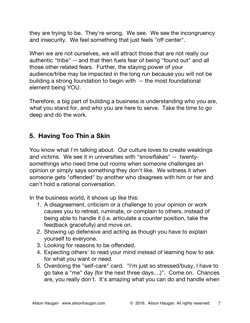they are trying to be. They're wrong. We see. We see the incongruency and insecurity. We feel something that just feels "off center".

When we are not ourselves, we will attract those that are not really our authentic "tribe" -- and that then fuels fear of being "found out" and all those other related fears. Further, the staying power of your audience/tribe may be impacted in the long run because you will not be building a strong foundation to begin with -- the most foundational element being YOU.

Therefore, a big part of building a business is understanding who you are, what you stand for, and who you are here to serve. Take the time to go deep and do the work.

# **5. Having Too Thin a Skin**

You know what I'm talking about. Our culture loves to create weaklings and victims. We see it in universities with "snowflakes" -- twentysomethings who need time out rooms when someone challenges an opinion or simply says something they don't like. We witness it when someone gets "offended" by another who disagrees with him or her and can't hold a rational conversation.

In the business world, it shows up like this:

- 1. A disagreement, criticism or a challenge to your opinion or work causes you to retreat, ruminate, or complain to others, instead of being able to handle it (i.e. articulate a counter position, take the feedback gracefully) and move on.
- 2. Showing up defensive and acting as though you have to explain yourself to everyone.
- 3. Looking for reasons to be offended.
- 4. Expecting others' to read your mind instead of learning how to ask for what you want or need.
- 5. Overdoing the "self-care" card. "I'm just so stressed/busy, I have to go take a "me" day (for the next three days....)". Come on. Chances are, you really don't. It's amazing what you can do and handle when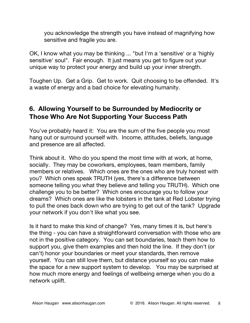you acknowledge the strength you have instead of magnifying how sensitive and fragile you are.

OK, I know what you may be thinking ... "but I'm a 'sensitive' or a 'highly sensitive' soul". Fair enough. It just means you get to figure out your unique way to protect your energy and build up your inner strength.

Toughen Up. Get a Grip. Get to work. Quit choosing to be offended. It's a waste of energy and a bad choice for elevating humanity.

# **6. Allowing Yourself to be Surrounded by Mediocrity or Those Who Are Not Supporting Your Success Path**

You've probably heard it: You are the sum of the five people you most hang out or surround yourself with. Income, attitudes, beliefs, language and presence are all affected.

Think about it. Who do you spend the most time with at work, at home, socially. They may be coworkers, employees, team members, family members or relatives. Which ones are the ones who are truly honest with you? Which ones speak TRUTH (yes, there's a difference between someone telling you what they believe and telling you TRUTH). Which one challenge you to be better? Which ones encourage you to follow your dreams? Which ones are like the lobsters in the tank at Red Lobster trying to pull the ones back down who are trying to get out of the tank? Upgrade your network if you don't like what you see.

Is it hard to make this kind of change? Yes, many times it is, but here's the thing - you can have a straightforward conversation with those who are not in the positive category. You can set boundaries, teach them how to support you, give them examples and then hold the line. If they don't (or can't) honor your boundaries or meet your standards, then remove yourself. You can still love them, but distance yourself so you can make the space for a new support system to develop. You may be surprised at how much more energy and feelings of wellbeing emerge when you do a network uplift.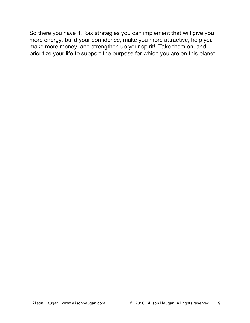So there you have it. Six strategies you can implement that will give you more energy, build your confidence, make you more attractive, help you make more money, and strengthen up your spirit! Take them on, and prioritize your life to support the purpose for which you are on this planet!